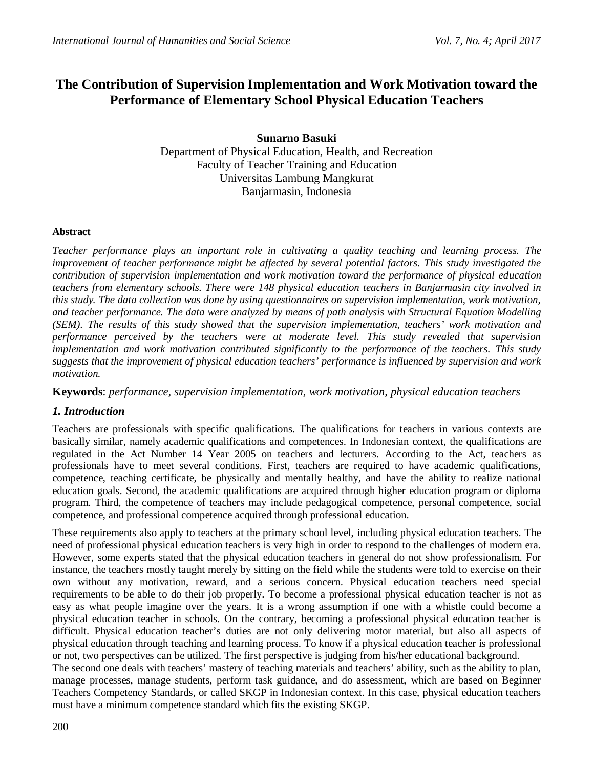# **The Contribution of Supervision Implementation and Work Motivation toward the Performance of Elementary School Physical Education Teachers**

**Sunarno Basuki**

Department of Physical Education, Health, and Recreation Faculty of Teacher Training and Education Universitas Lambung Mangkurat Banjarmasin, Indonesia

### **Abstract**

*Teacher performance plays an important role in cultivating a quality teaching and learning process. The improvement of teacher performance might be affected by several potential factors. This study investigated the contribution of supervision implementation and work motivation toward the performance of physical education teachers from elementary schools. There were 148 physical education teachers in Banjarmasin city involved in this study. The data collection was done by using questionnaires on supervision implementation, work motivation, and teacher performance. The data were analyzed by means of path analysis with Structural Equation Modelling (SEM). The results of this study showed that the supervision implementation, teachers' work motivation and performance perceived by the teachers were at moderate level. This study revealed that supervision implementation and work motivation contributed significantly to the performance of the teachers. This study suggests that the improvement of physical education teachers' performance is influenced by supervision and work motivation.*

**Keywords**: *performance, supervision implementation, work motivation, physical education teachers*

### *1. Introduction*

Teachers are professionals with specific qualifications. The qualifications for teachers in various contexts are basically similar, namely academic qualifications and competences. In Indonesian context, the qualifications are regulated in the Act Number 14 Year 2005 on teachers and lecturers. According to the Act, teachers as professionals have to meet several conditions. First, teachers are required to have academic qualifications, competence, teaching certificate, be physically and mentally healthy, and have the ability to realize national education goals. Second, the academic qualifications are acquired through higher education program or diploma program. Third, the competence of teachers may include pedagogical competence, personal competence, social competence, and professional competence acquired through professional education.

These requirements also apply to teachers at the primary school level, including physical education teachers. The need of professional physical education teachers is very high in order to respond to the challenges of modern era. However, some experts stated that the physical education teachers in general do not show professionalism. For instance, the teachers mostly taught merely by sitting on the field while the students were told to exercise on their own without any motivation, reward, and a serious concern. Physical education teachers need special requirements to be able to do their job properly. To become a professional physical education teacher is not as easy as what people imagine over the years. It is a wrong assumption if one with a whistle could become a physical education teacher in schools. On the contrary, becoming a professional physical education teacher is difficult. Physical education teacher's duties are not only delivering motor material, but also all aspects of physical education through teaching and learning process. To know if a physical education teacher is professional or not, two perspectives can be utilized. The first perspective is judging from his/her educational background.

The second one deals with teachers' mastery of teaching materials and teachers' ability, such as the ability to plan, manage processes, manage students, perform task guidance, and do assessment, which are based on Beginner Teachers Competency Standards, or called SKGP in Indonesian context. In this case, physical education teachers must have a minimum competence standard which fits the existing SKGP.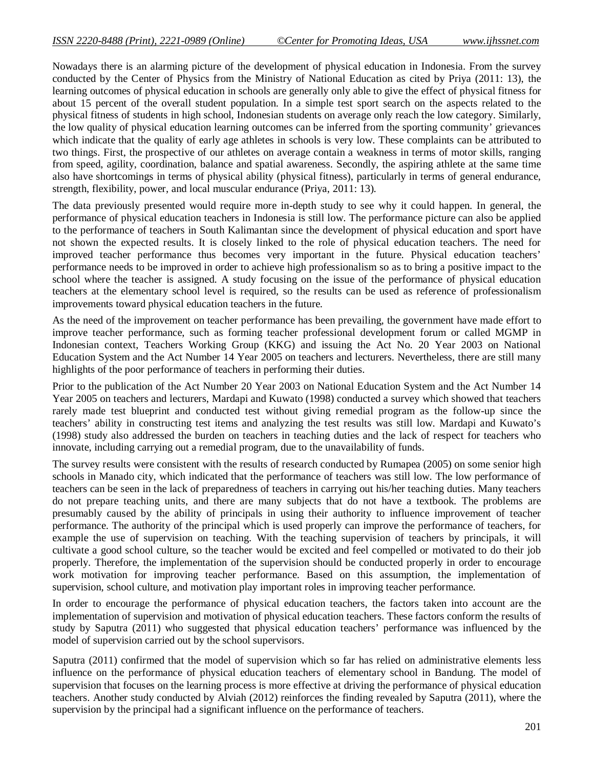Nowadays there is an alarming picture of the development of physical education in Indonesia. From the survey conducted by the Center of Physics from the Ministry of National Education as cited by Priya (2011: 13), the learning outcomes of physical education in schools are generally only able to give the effect of physical fitness for about 15 percent of the overall student population. In a simple test sport search on the aspects related to the physical fitness of students in high school, Indonesian students on average only reach the low category. Similarly, the low quality of physical education learning outcomes can be inferred from the sporting community' grievances which indicate that the quality of early age athletes in schools is very low. These complaints can be attributed to two things. First, the prospective of our athletes on average contain a weakness in terms of motor skills, ranging from speed, agility, coordination, balance and spatial awareness. Secondly, the aspiring athlete at the same time also have shortcomings in terms of physical ability (physical fitness), particularly in terms of general endurance, strength, flexibility, power, and local muscular endurance (Priya, 2011: 13).

The data previously presented would require more in-depth study to see why it could happen. In general, the performance of physical education teachers in Indonesia is still low. The performance picture can also be applied to the performance of teachers in South Kalimantan since the development of physical education and sport have not shown the expected results. It is closely linked to the role of physical education teachers. The need for improved teacher performance thus becomes very important in the future. Physical education teachers' performance needs to be improved in order to achieve high professionalism so as to bring a positive impact to the school where the teacher is assigned. A study focusing on the issue of the performance of physical education teachers at the elementary school level is required, so the results can be used as reference of professionalism improvements toward physical education teachers in the future.

As the need of the improvement on teacher performance has been prevailing, the government have made effort to improve teacher performance, such as forming teacher professional development forum or called MGMP in Indonesian context, Teachers Working Group (KKG) and issuing the Act No. 20 Year 2003 on National Education System and the Act Number 14 Year 2005 on teachers and lecturers. Nevertheless, there are still many highlights of the poor performance of teachers in performing their duties.

Prior to the publication of the Act Number 20 Year 2003 on National Education System and the Act Number 14 Year 2005 on teachers and lecturers, Mardapi and Kuwato (1998) conducted a survey which showed that teachers rarely made test blueprint and conducted test without giving remedial program as the follow-up since the teachers' ability in constructing test items and analyzing the test results was still low. Mardapi and Kuwato's (1998) study also addressed the burden on teachers in teaching duties and the lack of respect for teachers who innovate, including carrying out a remedial program, due to the unavailability of funds.

The survey results were consistent with the results of research conducted by Rumapea (2005) on some senior high schools in Manado city, which indicated that the performance of teachers was still low. The low performance of teachers can be seen in the lack of preparedness of teachers in carrying out his/her teaching duties. Many teachers do not prepare teaching units, and there are many subjects that do not have a textbook. The problems are presumably caused by the ability of principals in using their authority to influence improvement of teacher performance. The authority of the principal which is used properly can improve the performance of teachers, for example the use of supervision on teaching. With the teaching supervision of teachers by principals, it will cultivate a good school culture, so the teacher would be excited and feel compelled or motivated to do their job properly. Therefore, the implementation of the supervision should be conducted properly in order to encourage work motivation for improving teacher performance. Based on this assumption, the implementation of supervision, school culture, and motivation play important roles in improving teacher performance.

In order to encourage the performance of physical education teachers, the factors taken into account are the implementation of supervision and motivation of physical education teachers. These factors conform the results of study by Saputra (2011) who suggested that physical education teachers' performance was influenced by the model of supervision carried out by the school supervisors.

Saputra (2011) confirmed that the model of supervision which so far has relied on administrative elements less influence on the performance of physical education teachers of elementary school in Bandung. The model of supervision that focuses on the learning process is more effective at driving the performance of physical education teachers. Another study conducted by Alviah (2012) reinforces the finding revealed by Saputra (2011), where the supervision by the principal had a significant influence on the performance of teachers.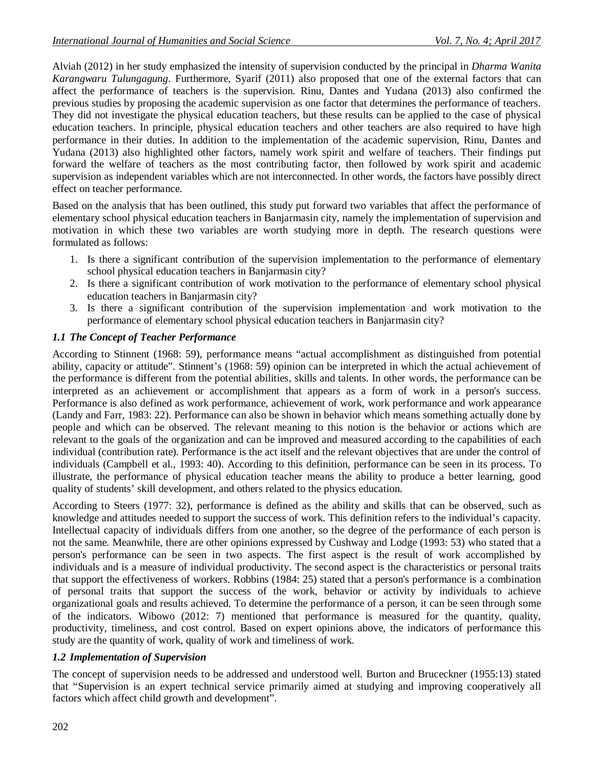Alviah (2012) in her study emphasized the intensity of supervision conducted by the principal in *Dharma Wanita Karangwaru Tulungagung*. Furthermore, Syarif (2011) also proposed that one of the external factors that can affect the performance of teachers is the supervision. Rinu, Dantes and Yudana (2013) also confirmed the previous studies by proposing the academic supervision as one factor that determines the performance of teachers. They did not investigate the physical education teachers, but these results can be applied to the case of physical education teachers. In principle, physical education teachers and other teachers are also required to have high performance in their duties. In addition to the implementation of the academic supervision, Rinu, Dantes and Yudana (2013) also highlighted other factors, namely work spirit and welfare of teachers. Their findings put forward the welfare of teachers as the most contributing factor, then followed by work spirit and academic supervision as independent variables which are not interconnected. In other words, the factors have possibly direct effect on teacher performance.

Based on the analysis that has been outlined, this study put forward two variables that affect the performance of elementary school physical education teachers in Banjarmasin city, namely the implementation of supervision and motivation in which these two variables are worth studying more in depth. The research questions were formulated as follows:

- 1. Is there a significant contribution of the supervision implementation to the performance of elementary school physical education teachers in Banjarmasin city?
- 2. Is there a significant contribution of work motivation to the performance of elementary school physical education teachers in Banjarmasin city?
- 3. Is there a significant contribution of the supervision implementation and work motivation to the performance of elementary school physical education teachers in Banjarmasin city?

### *1.1 The Concept of Teacher Performance*

According to Stinnent (1968: 59), performance means "actual accomplishment as distinguished from potential ability, capacity or attitude". Stinnent's (1968: 59) opinion can be interpreted in which the actual achievement of the performance is different from the potential abilities, skills and talents. In other words, the performance can be interpreted as an achievement or accomplishment that appears as a form of work in a person's success. Performance is also defined as work performance, achievement of work, work performance and work appearance (Landy and Farr, 1983: 22). Performance can also be shown in behavior which means something actually done by people and which can be observed. The relevant meaning to this notion is the behavior or actions which are relevant to the goals of the organization and can be improved and measured according to the capabilities of each individual (contribution rate). Performance is the act itself and the relevant objectives that are under the control of individuals (Campbell et al., 1993: 40). According to this definition, performance can be seen in its process. To illustrate, the performance of physical education teacher means the ability to produce a better learning, good quality of students' skill development, and others related to the physics education.

According to Steers (1977: 32), performance is defined as the ability and skills that can be observed, such as knowledge and attitudes needed to support the success of work. This definition refers to the individual's capacity. Intellectual capacity of individuals differs from one another, so the degree of the performance of each person is not the same. Meanwhile, there are other opinions expressed by Cushway and Lodge (1993: 53) who stated that a person's performance can be seen in two aspects. The first aspect is the result of work accomplished by individuals and is a measure of individual productivity. The second aspect is the characteristics or personal traits that support the effectiveness of workers. Robbins (1984: 25) stated that a person's performance is a combination of personal traits that support the success of the work, behavior or activity by individuals to achieve organizational goals and results achieved. To determine the performance of a person, it can be seen through some of the indicators. Wibowo (2012: 7) mentioned that performance is measured for the quantity, quality, productivity, timeliness, and cost control. Based on expert opinions above, the indicators of performance this study are the quantity of work, quality of work and timeliness of work.

### *1.2 Implementation of Supervision*

The concept of supervision needs to be addressed and understood well. Burton and Bruceckner (1955:13) stated that "Supervision is an expert technical service primarily aimed at studying and improving cooperatively all factors which affect child growth and development".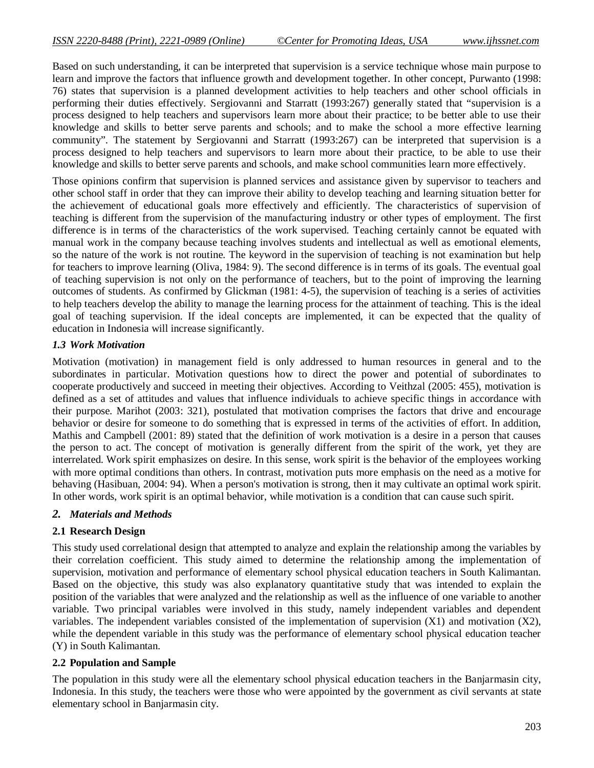Based on such understanding, it can be interpreted that supervision is a service technique whose main purpose to learn and improve the factors that influence growth and development together. In other concept, Purwanto (1998: 76) states that supervision is a planned development activities to help teachers and other school officials in performing their duties effectively. Sergiovanni and Starratt (1993:267) generally stated that "supervision is a process designed to help teachers and supervisors learn more about their practice; to be better able to use their knowledge and skills to better serve parents and schools; and to make the school a more effective learning community". The statement by Sergiovanni and Starratt (1993:267) can be interpreted that supervision is a process designed to help teachers and supervisors to learn more about their practice, to be able to use their knowledge and skills to better serve parents and schools, and make school communities learn more effectively.

Those opinions confirm that supervision is planned services and assistance given by supervisor to teachers and other school staff in order that they can improve their ability to develop teaching and learning situation better for the achievement of educational goals more effectively and efficiently. The characteristics of supervision of teaching is different from the supervision of the manufacturing industry or other types of employment. The first difference is in terms of the characteristics of the work supervised. Teaching certainly cannot be equated with manual work in the company because teaching involves students and intellectual as well as emotional elements, so the nature of the work is not routine. The keyword in the supervision of teaching is not examination but help for teachers to improve learning (Oliva, 1984: 9). The second difference is in terms of its goals. The eventual goal of teaching supervision is not only on the performance of teachers, but to the point of improving the learning outcomes of students. As confirmed by Glickman (1981: 4-5), the supervision of teaching is a series of activities to help teachers develop the ability to manage the learning process for the attainment of teaching. This is the ideal goal of teaching supervision. If the ideal concepts are implemented, it can be expected that the quality of education in Indonesia will increase significantly.

### *1.3 Work Motivation*

Motivation (motivation) in management field is only addressed to human resources in general and to the subordinates in particular. Motivation questions how to direct the power and potential of subordinates to cooperate productively and succeed in meeting their objectives. According to Veithzal (2005: 455), motivation is defined as a set of attitudes and values that influence individuals to achieve specific things in accordance with their purpose. Marihot (2003: 321), postulated that motivation comprises the factors that drive and encourage behavior or desire for someone to do something that is expressed in terms of the activities of effort. In addition, Mathis and Campbell (2001: 89) stated that the definition of work motivation is a desire in a person that causes the person to act. The concept of motivation is generally different from the spirit of the work, yet they are interrelated. Work spirit emphasizes on desire. In this sense, work spirit is the behavior of the employees working with more optimal conditions than others. In contrast, motivation puts more emphasis on the need as a motive for behaving (Hasibuan, 2004: 94). When a person's motivation is strong, then it may cultivate an optimal work spirit. In other words, work spirit is an optimal behavior, while motivation is a condition that can cause such spirit.

### *2. Materials and Methods*

### **2.1 Research Design**

This study used correlational design that attempted to analyze and explain the relationship among the variables by their correlation coefficient. This study aimed to determine the relationship among the implementation of supervision, motivation and performance of elementary school physical education teachers in South Kalimantan. Based on the objective, this study was also explanatory quantitative study that was intended to explain the position of the variables that were analyzed and the relationship as well as the influence of one variable to another variable. Two principal variables were involved in this study, namely independent variables and dependent variables. The independent variables consisted of the implementation of supervision (X1) and motivation (X2), while the dependent variable in this study was the performance of elementary school physical education teacher (Y) in South Kalimantan.

### **2.2 Population and Sample**

The population in this study were all the elementary school physical education teachers in the Banjarmasin city, Indonesia. In this study, the teachers were those who were appointed by the government as civil servants at state elementary school in Banjarmasin city.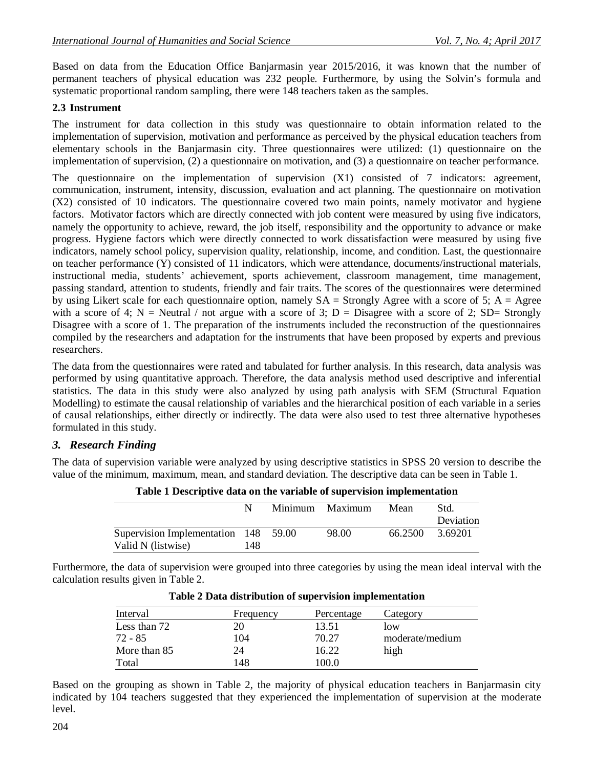Based on data from the Education Office Banjarmasin year 2015/2016, it was known that the number of permanent teachers of physical education was 232 people. Furthermore, by using the Solvin's formula and systematic proportional random sampling, there were 148 teachers taken as the samples.

### **2.3 Instrument**

The instrument for data collection in this study was questionnaire to obtain information related to the implementation of supervision, motivation and performance as perceived by the physical education teachers from elementary schools in the Banjarmasin city. Three questionnaires were utilized: (1) questionnaire on the implementation of supervision, (2) a questionnaire on motivation, and (3) a questionnaire on teacher performance.

The questionnaire on the implementation of supervision (X1) consisted of 7 indicators: agreement, communication, instrument, intensity, discussion, evaluation and act planning. The questionnaire on motivation (X2) consisted of 10 indicators. The questionnaire covered two main points, namely motivator and hygiene factors. Motivator factors which are directly connected with job content were measured by using five indicators, namely the opportunity to achieve, reward, the job itself, responsibility and the opportunity to advance or make progress. Hygiene factors which were directly connected to work dissatisfaction were measured by using five indicators, namely school policy, supervision quality, relationship, income, and condition. Last, the questionnaire on teacher performance  $(\hat{Y})$  consisted of 11 indicators, which were attendance, documents/instructional materials, instructional media, students' achievement, sports achievement, classroom management, time management, passing standard, attention to students, friendly and fair traits. The scores of the questionnaires were determined by using Likert scale for each questionnaire option, namely  $SA =$  Strongly Agree with a score of 5;  $A =$  Agree with a score of 4; N = Neutral / not argue with a score of 3; D = Disagree with a score of 2; SD= Strongly Disagree with a score of 1. The preparation of the instruments included the reconstruction of the questionnaires compiled by the researchers and adaptation for the instruments that have been proposed by experts and previous researchers.

The data from the questionnaires were rated and tabulated for further analysis. In this research, data analysis was performed by using quantitative approach. Therefore, the data analysis method used descriptive and inferential statistics. The data in this study were also analyzed by using path analysis with SEM (Structural Equation Modelling) to estimate the causal relationship of variables and the hierarchical position of each variable in a series of causal relationships, either directly or indirectly. The data were also used to test three alternative hypotheses formulated in this study.

### *3. Research Finding*

The data of supervision variable were analyzed by using descriptive statistics in SPSS 20 version to describe the value of the minimum, maximum, mean, and standard deviation. The descriptive data can be seen in Table 1.

|                                      |     | Minimum | Maximum | Mean    | Std.      |
|--------------------------------------|-----|---------|---------|---------|-----------|
|                                      |     |         |         |         | Deviation |
| Supervision Implementation 148 59.00 |     |         | 98.00   | 66.2500 | 3.69201   |
| Valid N (listwise)                   | 148 |         |         |         |           |

**Table 1 Descriptive data on the variable of supervision implementation**

Furthermore, the data of supervision were grouped into three categories by using the mean ideal interval with the calculation results given in Table 2.

| Interval     | Frequency | Percentage | Category        |
|--------------|-----------|------------|-----------------|
| Less than 72 |           | 13.51      | low             |
| 72 - 85      | 104       | 70.27      | moderate/medium |
| More than 85 | 24        | 16.22      | high            |
| Total        | 148       | 100.0      |                 |

**Table 2 Data distribution of supervision implementation**

Based on the grouping as shown in Table 2, the majority of physical education teachers in Banjarmasin city indicated by 104 teachers suggested that they experienced the implementation of supervision at the moderate level.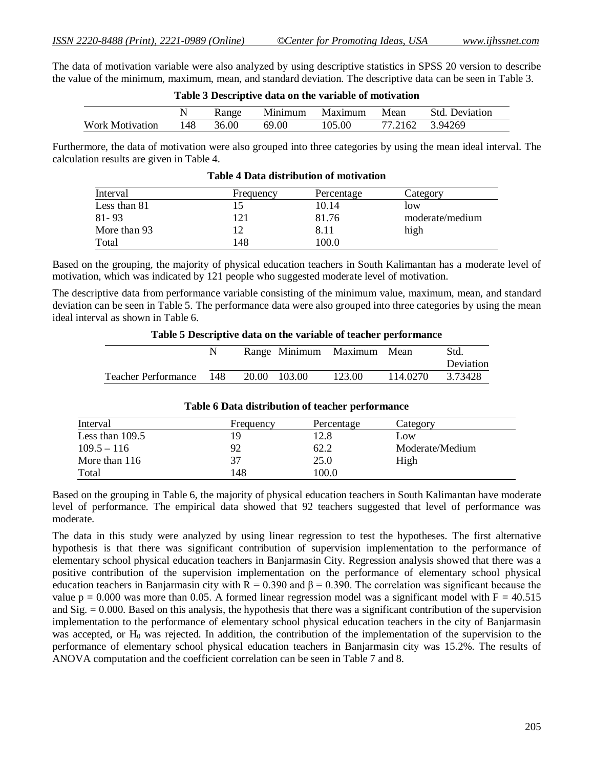The data of motivation variable were also analyzed by using descriptive statistics in SPSS 20 version to describe the value of the minimum, maximum, mean, and standard deviation. The descriptive data can be seen in Table 3.

| Table 5 Descriptive data on the variable of motivation |     |       |         |         |         |                       |
|--------------------------------------------------------|-----|-------|---------|---------|---------|-----------------------|
|                                                        |     | Range | Minimum | Maximum | Mean    | <b>Std.</b> Deviation |
| <b>Work Motivation</b>                                 | 148 | 36.00 | 69.00   | 105.00  | 77.2162 | 3.94269               |

Furthermore, the data of motivation were also grouped into three categories by using the mean ideal interval. The calculation results are given in Table 4.

| Interval     | Frequency | Percentage | Category        |
|--------------|-----------|------------|-----------------|
| Less than 81 |           | 10.14      | low             |
| $81 - 93$    | 121       | 81.76      | moderate/medium |
| More than 93 |           | 8.11       | high            |
| Total        | 148       | 100.0      |                 |

|  |  | <b>Table 4 Data distribution of motivation</b> |
|--|--|------------------------------------------------|
|--|--|------------------------------------------------|

Based on the grouping, the majority of physical education teachers in South Kalimantan has a moderate level of motivation, which was indicated by 121 people who suggested moderate level of motivation.

The descriptive data from performance variable consisting of the minimum value, maximum, mean, and standard deviation can be seen in Table 5. The performance data were also grouped into three categories by using the mean ideal interval as shown in Table 6.

#### **Table 5 Descriptive data on the variable of teacher performance**

|                            |     |       |        | Range Minimum Maximum Mean |          | Std.<br>Deviation |
|----------------------------|-----|-------|--------|----------------------------|----------|-------------------|
| <b>Teacher Performance</b> | 148 | 20.00 | 103.00 | 123.00                     | 114.0270 | 3.73428           |

| Interval        | Frequency | Percentage | Category        |
|-----------------|-----------|------------|-----------------|
| Less than 109.5 | 1 Q       | 12.8       | Low             |
| $109.5 - 116$   | 92        | 62.2       | Moderate/Medium |
| More than 116   | 37        | 25.0       | High            |
| Total           | 48        | 100.0      |                 |

#### **Table 6 Data distribution of teacher performance**

Based on the grouping in Table 6, the majority of physical education teachers in South Kalimantan have moderate level of performance. The empirical data showed that 92 teachers suggested that level of performance was moderate.

The data in this study were analyzed by using linear regression to test the hypotheses. The first alternative hypothesis is that there was significant contribution of supervision implementation to the performance of elementary school physical education teachers in Banjarmasin City. Regression analysis showed that there was a positive contribution of the supervision implementation on the performance of elementary school physical education teachers in Banjarmasin city with  $R = 0.390$  and  $\beta = 0.390$ . The correlation was significant because the value  $p = 0.000$  was more than 0.05. A formed linear regression model was a significant model with  $F = 40.515$ and  $\text{Sig.} = 0.000$ . Based on this analysis, the hypothesis that there was a significant contribution of the supervision implementation to the performance of elementary school physical education teachers in the city of Banjarmasin was accepted, or  $H_0$  was rejected. In addition, the contribution of the implementation of the supervision to the performance of elementary school physical education teachers in Banjarmasin city was 15.2%. The results of ANOVA computation and the coefficient correlation can be seen in Table 7 and 8.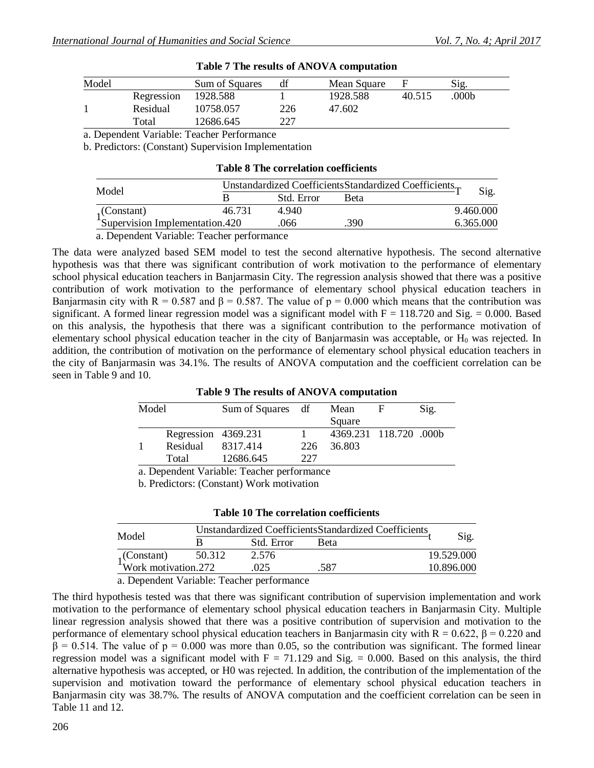| Model |            | Sum of Squares | df  | Mean Square |        | Sig.  |  |
|-------|------------|----------------|-----|-------------|--------|-------|--|
|       | Regression | 1928.588       |     | 1928.588    | 40.515 | .000b |  |
|       | Residual   | 10758.057      | 226 | 47.602      |        |       |  |
|       | Total      | 12686.645      | 227 |             |        |       |  |

|  |  |  |  |  |  | Table 7 The results of ANOVA computation |
|--|--|--|--|--|--|------------------------------------------|
|--|--|--|--|--|--|------------------------------------------|

a. Dependent Variable: Teacher Performance

b. Predictors: (Constant) Supervision Implementation

|  |  |  | <b>Table 8 The correlation coefficients</b> |
|--|--|--|---------------------------------------------|
|--|--|--|---------------------------------------------|

| Model                                                  |        | Unstandardized CoefficientsStandardized Coefficients |             |  |           |  |
|--------------------------------------------------------|--------|------------------------------------------------------|-------------|--|-----------|--|
|                                                        |        | Std. Error                                           | <b>Beta</b> |  | Sig.      |  |
|                                                        | 46.731 | 4.940                                                |             |  | 9.460.000 |  |
| $1$ (Constant) 46.73<br>Supervision Implementation.420 |        | .066                                                 | .390-       |  | 6.365.000 |  |
|                                                        |        |                                                      |             |  |           |  |

a. Dependent Variable: Teacher performance

The data were analyzed based SEM model to test the second alternative hypothesis. The second alternative hypothesis was that there was significant contribution of work motivation to the performance of elementary school physical education teachers in Banjarmasin City. The regression analysis showed that there was a positive contribution of work motivation to the performance of elementary school physical education teachers in Banjarmasin city with R = 0.587 and  $\beta$  = 0.587. The value of p = 0.000 which means that the contribution was significant. A formed linear regression model was a significant model with  $F = 118.720$  and Sig. = 0.000. Based on this analysis, the hypothesis that there was a significant contribution to the performance motivation of elementary school physical education teacher in the city of Banjarmasin was acceptable, or  $H_0$  was rejected. In addition, the contribution of motivation on the performance of elementary school physical education teachers in the city of Banjarmasin was 34.1%. The results of ANOVA computation and the coefficient correlation can be seen in Table 9 and 10.

#### **Table 9 The results of ANOVA computation**

| Model |                     | Sum of Squares df |     | Mean<br>Square         | F | Sig. |
|-------|---------------------|-------------------|-----|------------------------|---|------|
|       | Regression 4369.231 |                   |     | 4369.231 118.720 .000b |   |      |
|       | Residual            | 8317.414          | 226 | 36.803                 |   |      |
|       | Total               | 12686.645         | 227 |                        |   |      |

a. Dependent Variable: Teacher performance

b. Predictors: (Constant) Work motivation

|  |  | <b>Table 10 The correlation coefficients</b> |  |
|--|--|----------------------------------------------|--|
|--|--|----------------------------------------------|--|

| Model                                       |        | Unstandardized Coefficients Standardized Coefficients | Sig.        |  |            |
|---------------------------------------------|--------|-------------------------------------------------------|-------------|--|------------|
|                                             |        | Std. Error                                            | <b>Beta</b> |  |            |
|                                             | 50.312 | 2.576                                                 |             |  | 19.529.000 |
| $1$ (Constant) 50.31<br>Work motivation.272 |        | .025                                                  | .587        |  | 10.896.000 |

a. Dependent Variable: Teacher performance

The third hypothesis tested was that there was significant contribution of supervision implementation and work motivation to the performance of elementary school physical education teachers in Banjarmasin City. Multiple linear regression analysis showed that there was a positive contribution of supervision and motivation to the performance of elementary school physical education teachers in Banjarmasin city with  $R = 0.622$ ,  $\beta = 0.220$  and  $β = 0.514$ . The value of  $p = 0.000$  was more than 0.05, so the contribution was significant. The formed linear regression model was a significant model with  $F = 71.129$  and Sig. = 0.000. Based on this analysis, the third alternative hypothesis was accepted, or H0 was rejected. In addition, the contribution of the implementation of the supervision and motivation toward the performance of elementary school physical education teachers in Banjarmasin city was 38.7%. The results of ANOVA computation and the coefficient correlation can be seen in Table 11 and 12.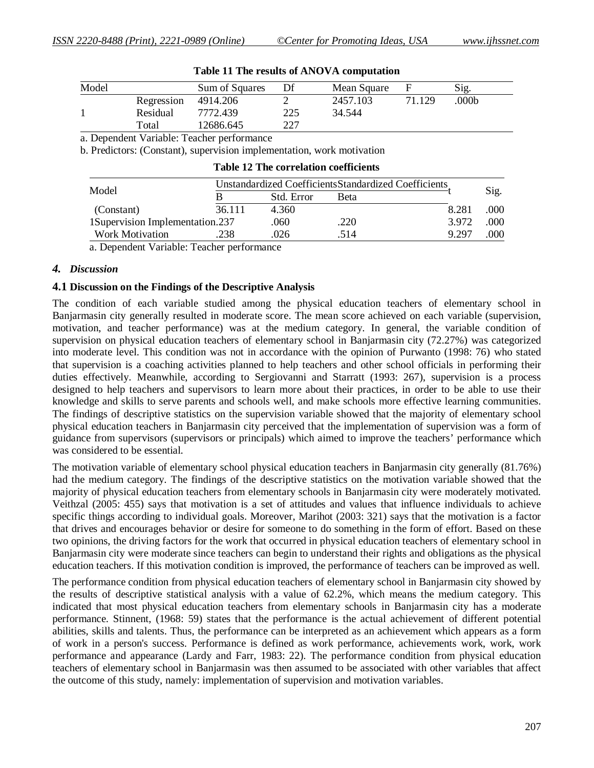| Model |            | Sum of Squares |     | Mean Square |        | Sig.  |  |
|-------|------------|----------------|-----|-------------|--------|-------|--|
|       | Regression | 4914.206       |     | 2457.103    | 71 129 | .000b |  |
|       | Residual   | 7772.439       | 225 | 34.544      |        |       |  |
|       | Total      | 12686.645      | 227 |             |        |       |  |

#### **Table 11 The results of ANOVA computation**

a. Dependent Variable: Teacher performance

b. Predictors: (Constant), supervision implementation, work motivation

|                                 | Unstandardized Coefficients Standardized Coefficients |            |              |       |      |
|---------------------------------|-------------------------------------------------------|------------|--------------|-------|------|
| Model                           |                                                       | Std. Error | <b>B</b> eta |       | Sig. |
| (Constant)                      | 36.111                                                | 4.360      |              | 8.281 | .000 |
| 1Supervision Implementation.237 |                                                       | .060       | .220         | 3.972 | .000 |
| <b>Work Motivation</b>          | .238                                                  | .026       | .514         | 9.297 | .000 |
|                                 |                                                       |            |              |       |      |

a. Dependent Variable: Teacher performance

### *4. Discussion*

#### **4.1 Discussion on the Findings of the Descriptive Analysis**

The condition of each variable studied among the physical education teachers of elementary school in Banjarmasin city generally resulted in moderate score. The mean score achieved on each variable (supervision, motivation, and teacher performance) was at the medium category. In general, the variable condition of supervision on physical education teachers of elementary school in Banjarmasin city (72.27%) was categorized into moderate level. This condition was not in accordance with the opinion of Purwanto (1998: 76) who stated that supervision is a coaching activities planned to help teachers and other school officials in performing their duties effectively. Meanwhile, according to Sergiovanni and Starratt (1993: 267), supervision is a process designed to help teachers and supervisors to learn more about their practices, in order to be able to use their knowledge and skills to serve parents and schools well, and make schools more effective learning communities. The findings of descriptive statistics on the supervision variable showed that the majority of elementary school physical education teachers in Banjarmasin city perceived that the implementation of supervision was a form of guidance from supervisors (supervisors or principals) which aimed to improve the teachers' performance which was considered to be essential.

The motivation variable of elementary school physical education teachers in Banjarmasin city generally (81.76%) had the medium category. The findings of the descriptive statistics on the motivation variable showed that the majority of physical education teachers from elementary schools in Banjarmasin city were moderately motivated. Veithzal (2005: 455) says that motivation is a set of attitudes and values that influence individuals to achieve specific things according to individual goals. Moreover, Marihot (2003: 321) says that the motivation is a factor that drives and encourages behavior or desire for someone to do something in the form of effort. Based on these two opinions, the driving factors for the work that occurred in physical education teachers of elementary school in Banjarmasin city were moderate since teachers can begin to understand their rights and obligations as the physical education teachers. If this motivation condition is improved, the performance of teachers can be improved as well.

The performance condition from physical education teachers of elementary school in Banjarmasin city showed by the results of descriptive statistical analysis with a value of 62.2%, which means the medium category. This indicated that most physical education teachers from elementary schools in Banjarmasin city has a moderate performance. Stinnent, (1968: 59) states that the performance is the actual achievement of different potential abilities, skills and talents. Thus, the performance can be interpreted as an achievement which appears as a form of work in a person's success. Performance is defined as work performance, achievements work, work, work performance and appearance (Lardy and Farr, 1983: 22). The performance condition from physical education teachers of elementary school in Banjarmasin was then assumed to be associated with other variables that affect the outcome of this study, namely: implementation of supervision and motivation variables.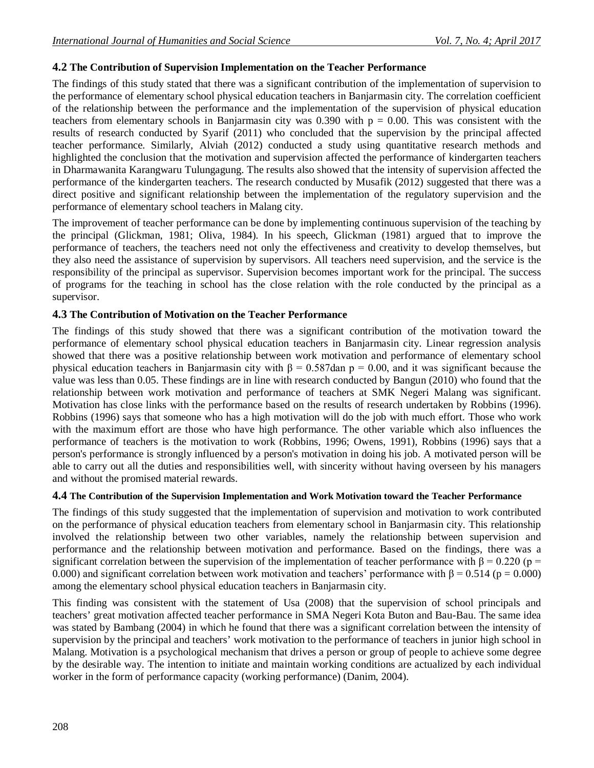### **4.2 The Contribution of Supervision Implementation on the Teacher Performance**

The findings of this study stated that there was a significant contribution of the implementation of supervision to the performance of elementary school physical education teachers in Banjarmasin city. The correlation coefficient of the relationship between the performance and the implementation of the supervision of physical education teachers from elementary schools in Banjarmasin city was 0.390 with  $p = 0.00$ . This was consistent with the results of research conducted by Syarif (2011) who concluded that the supervision by the principal affected teacher performance. Similarly, Alviah (2012) conducted a study using quantitative research methods and highlighted the conclusion that the motivation and supervision affected the performance of kindergarten teachers in Dharmawanita Karangwaru Tulungagung. The results also showed that the intensity of supervision affected the performance of the kindergarten teachers. The research conducted by Musafik (2012) suggested that there was a direct positive and significant relationship between the implementation of the regulatory supervision and the performance of elementary school teachers in Malang city.

The improvement of teacher performance can be done by implementing continuous supervision of the teaching by the principal (Glickman, 1981; Oliva, 1984). In his speech, Glickman (1981) argued that to improve the performance of teachers, the teachers need not only the effectiveness and creativity to develop themselves, but they also need the assistance of supervision by supervisors. All teachers need supervision, and the service is the responsibility of the principal as supervisor. Supervision becomes important work for the principal. The success of programs for the teaching in school has the close relation with the role conducted by the principal as a supervisor.

### **4.3 The Contribution of Motivation on the Teacher Performance**

The findings of this study showed that there was a significant contribution of the motivation toward the performance of elementary school physical education teachers in Banjarmasin city. Linear regression analysis showed that there was a positive relationship between work motivation and performance of elementary school physical education teachers in Banjarmasin city with  $\beta = 0.587$ dan p = 0.00, and it was significant because the value was less than 0.05. These findings are in line with research conducted by Bangun (2010) who found that the relationship between work motivation and performance of teachers at SMK Negeri Malang was significant. Motivation has close links with the performance based on the results of research undertaken by Robbins (1996). Robbins (1996) says that someone who has a high motivation will do the job with much effort. Those who work with the maximum effort are those who have high performance. The other variable which also influences the performance of teachers is the motivation to work (Robbins, 1996; Owens, 1991), Robbins (1996) says that a person's performance is strongly influenced by a person's motivation in doing his job. A motivated person will be able to carry out all the duties and responsibilities well, with sincerity without having overseen by his managers and without the promised material rewards.

### **4.4 The Contribution of the Supervision Implementation and Work Motivation toward the Teacher Performance**

The findings of this study suggested that the implementation of supervision and motivation to work contributed on the performance of physical education teachers from elementary school in Banjarmasin city. This relationship involved the relationship between two other variables, namely the relationship between supervision and performance and the relationship between motivation and performance. Based on the findings, there was a significant correlation between the supervision of the implementation of teacher performance with  $\beta = 0.220$  (p = 0.000) and significant correlation between work motivation and teachers' performance with  $\beta = 0.514$  (p = 0.000) among the elementary school physical education teachers in Banjarmasin city.

This finding was consistent with the statement of Usa (2008) that the supervision of school principals and teachers' great motivation affected teacher performance in SMA Negeri Kota Buton and Bau-Bau. The same idea was stated by Bambang (2004) in which he found that there was a significant correlation between the intensity of supervision by the principal and teachers' work motivation to the performance of teachers in junior high school in Malang. Motivation is a psychological mechanism that drives a person or group of people to achieve some degree by the desirable way. The intention to initiate and maintain working conditions are actualized by each individual worker in the form of performance capacity (working performance) (Danim, 2004).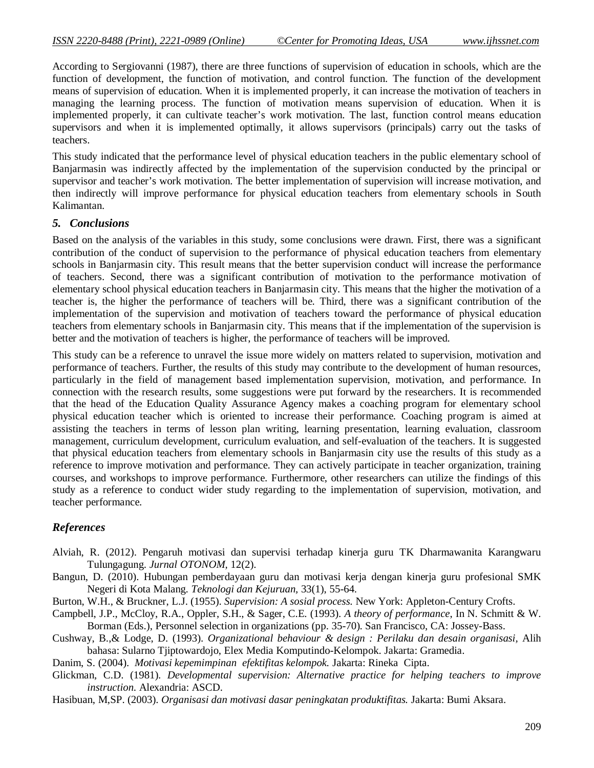According to Sergiovanni (1987), there are three functions of supervision of education in schools, which are the function of development, the function of motivation, and control function. The function of the development means of supervision of education. When it is implemented properly, it can increase the motivation of teachers in managing the learning process. The function of motivation means supervision of education. When it is implemented properly, it can cultivate teacher's work motivation. The last, function control means education supervisors and when it is implemented optimally, it allows supervisors (principals) carry out the tasks of teachers.

This study indicated that the performance level of physical education teachers in the public elementary school of Banjarmasin was indirectly affected by the implementation of the supervision conducted by the principal or supervisor and teacher's work motivation. The better implementation of supervision will increase motivation, and then indirectly will improve performance for physical education teachers from elementary schools in South Kalimantan.

### *5. Conclusions*

Based on the analysis of the variables in this study, some conclusions were drawn. First, there was a significant contribution of the conduct of supervision to the performance of physical education teachers from elementary schools in Banjarmasin city. This result means that the better supervision conduct will increase the performance of teachers. Second, there was a significant contribution of motivation to the performance motivation of elementary school physical education teachers in Banjarmasin city. This means that the higher the motivation of a teacher is, the higher the performance of teachers will be. Third, there was a significant contribution of the implementation of the supervision and motivation of teachers toward the performance of physical education teachers from elementary schools in Banjarmasin city. This means that if the implementation of the supervision is better and the motivation of teachers is higher, the performance of teachers will be improved.

This study can be a reference to unravel the issue more widely on matters related to supervision, motivation and performance of teachers. Further, the results of this study may contribute to the development of human resources, particularly in the field of management based implementation supervision, motivation, and performance. In connection with the research results, some suggestions were put forward by the researchers. It is recommended that the head of the Education Quality Assurance Agency makes a coaching program for elementary school physical education teacher which is oriented to increase their performance. Coaching program is aimed at assisting the teachers in terms of lesson plan writing, learning presentation, learning evaluation, classroom management, curriculum development, curriculum evaluation, and self-evaluation of the teachers. It is suggested that physical education teachers from elementary schools in Banjarmasin city use the results of this study as a reference to improve motivation and performance. They can actively participate in teacher organization, training courses, and workshops to improve performance. Furthermore, other researchers can utilize the findings of this study as a reference to conduct wider study regarding to the implementation of supervision, motivation, and teacher performance.

## *References*

- Alviah, R. (2012). Pengaruh motivasi dan supervisi terhadap kinerja guru TK Dharmawanita Karangwaru Tulungagung. *Jurnal OTONOM,* 12(2).
- Bangun, D. (2010). Hubungan pemberdayaan guru dan motivasi kerja dengan kinerja guru profesional SMK Negeri di Kota Malang. *Teknologi dan Kejuruan,* 33(1), 55-64.
- Burton, W.H., & Bruckner, L.J. (1955). *Supervision: A sosial process.* New York: Appleton-Century Crofts.
- Campbell, J.P., McCloy, R.A., Oppler, S.H., & Sager, C.E. (1993). *A theory of performance*, In N. Schmitt & W. Borman (Eds.), Personnel selection in organizations (pp. 35-70). San Francisco, CA: Jossey-Bass.
- Cushway, B.,& Lodge, D. (1993). *Organizational behaviour & design : Perilaku dan desain organisasi,* Alih bahasa: Sularno Tjiptowardojo, Elex Media Komputindo-Kelompok. Jakarta: Gramedia.
- Danim, S. (2004). *Motivasi kepemimpinan efektifitas kelompok.* Jakarta: Rineka Cipta.
- Glickman, C.D. (1981). *Developmental supervision: Alternative practice for helping teachers to improve instruction*. Alexandria: ASCD.
- Hasibuan, M,SP. (2003). *Organisasi dan motivasi dasar peningkatan produktifitas.* Jakarta: Bumi Aksara.